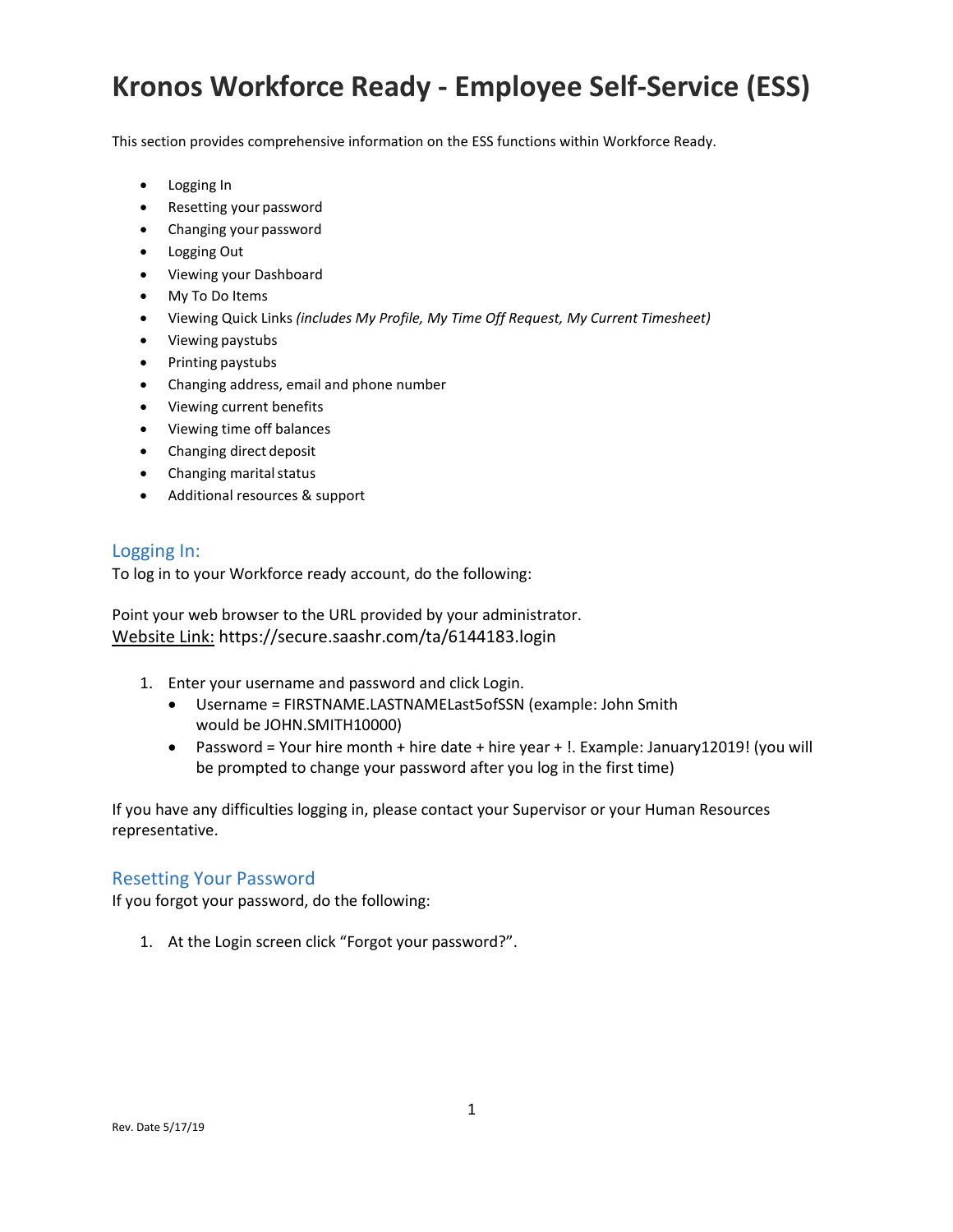This section provides comprehensive information on the ESS functions within Workforce Ready.

- Logging In
- Resetting your password
- Changing your password
- Logging Out
- Viewing your Dashboard
- My To Do Items
- Viewing Quick Links *(includes My Profile, My Time Off Request, My Current Timesheet)*
- Viewing paystubs
- Printing paystubs
- Changing address, email and phone number
- Viewing current benefits
- Viewing time off balances
- Changing direct deposit
- Changing marital status
- Additional resources & support

#### Logging In:

To log in to your Workforce ready account, do the following:

Point your web browser to the URL provided by your administrator. Website Link: https://secure.saashr.com/ta/6144183.login

- 1. Enter your username and password and click Login.
	- Username = FIRSTNAME.LASTNAMELast5ofSSN (example: John Smith would be JOHN.SMITH10000)
	- Password = Your hire month + hire date + hire year + !. Example: January12019! (you will be prompted to change your password after you log in the first time)

If you have any difficulties logging in, please contact your Supervisor or your Human Resources representative.

#### Resetting Your Password

If you forgot your password, do the following:

1. At the Login screen click "Forgot your password?".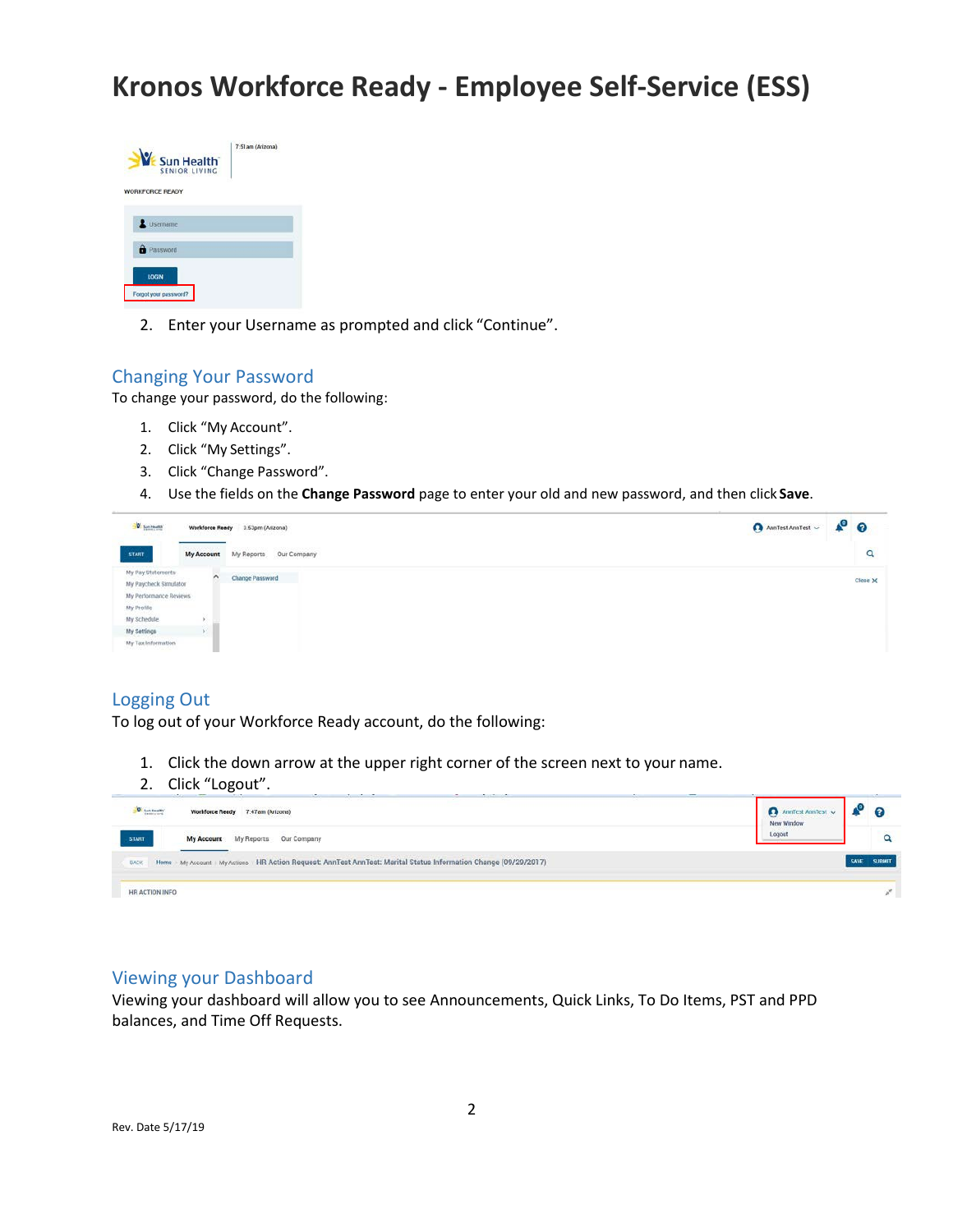

2. Enter your Username as prompted and click "Continue".

#### Changing Your Password

To change your password, do the following:

- 1. Click "My Account".
- 2. Click "My Settings".
- 3. Click "Change Password".
- 4. Use the fields on the **Change Password** page to enter your old and new password, and then click **Save**.

| $\frac{1}{\sqrt{2}}\sum_{\substack{\text{for } \text{the first}}}$ | Workforce Ready     | 3.53pm (Arizona)                                | $\bullet$ $\bullet$<br>AnnTest AnnTest $\sim$ |
|--------------------------------------------------------------------|---------------------|-------------------------------------------------|-----------------------------------------------|
| <b>START</b>                                                       | <b>My Account</b>   | 000000000000000000<br>Our Company<br>My Reports | <b>CALLS</b><br>Q                             |
| My Pay Statements<br>My Paycheck Simulator                         | $\hat{\phantom{a}}$ | Change Password                                 | Close X                                       |
| My Performance Reviews                                             |                     |                                                 |                                               |
| My Profile                                                         |                     |                                                 |                                               |
| My Schedule                                                        |                     |                                                 |                                               |
| My Settings                                                        |                     |                                                 |                                               |
| My Tax Information                                                 |                     |                                                 |                                               |

### Logging Out

To log out of your Workforce Ready account, do the following:

- 1. Click the down arrow at the upper right corner of the screen next to your name.
- 2. Click "Logout".

|                                                                                                                   | AnnTest AnnTest v |
|-------------------------------------------------------------------------------------------------------------------|-------------------|
| W. Sun Health                                                                                                     | െ                 |
| Workforce Ready 7:47am (Arizona)                                                                                  | New Window        |
| <b>START</b><br>My Reports Our Company<br>My Account                                                              | Logout            |
| Home My Account   My Actions   HR Action Request: AnnTest AnnTest: Marital Status Information Change (09/29/2017) | <b>SAVE</b>       |
| <b>BACK</b>                                                                                                       | <b>JBMIT</b>      |
| HR ACTION INFO                                                                                                    |                   |

#### Viewing your Dashboard

Viewing your dashboard will allow you to see Announcements, Quick Links, To Do Items, PST and PPD balances, and Time Off Requests.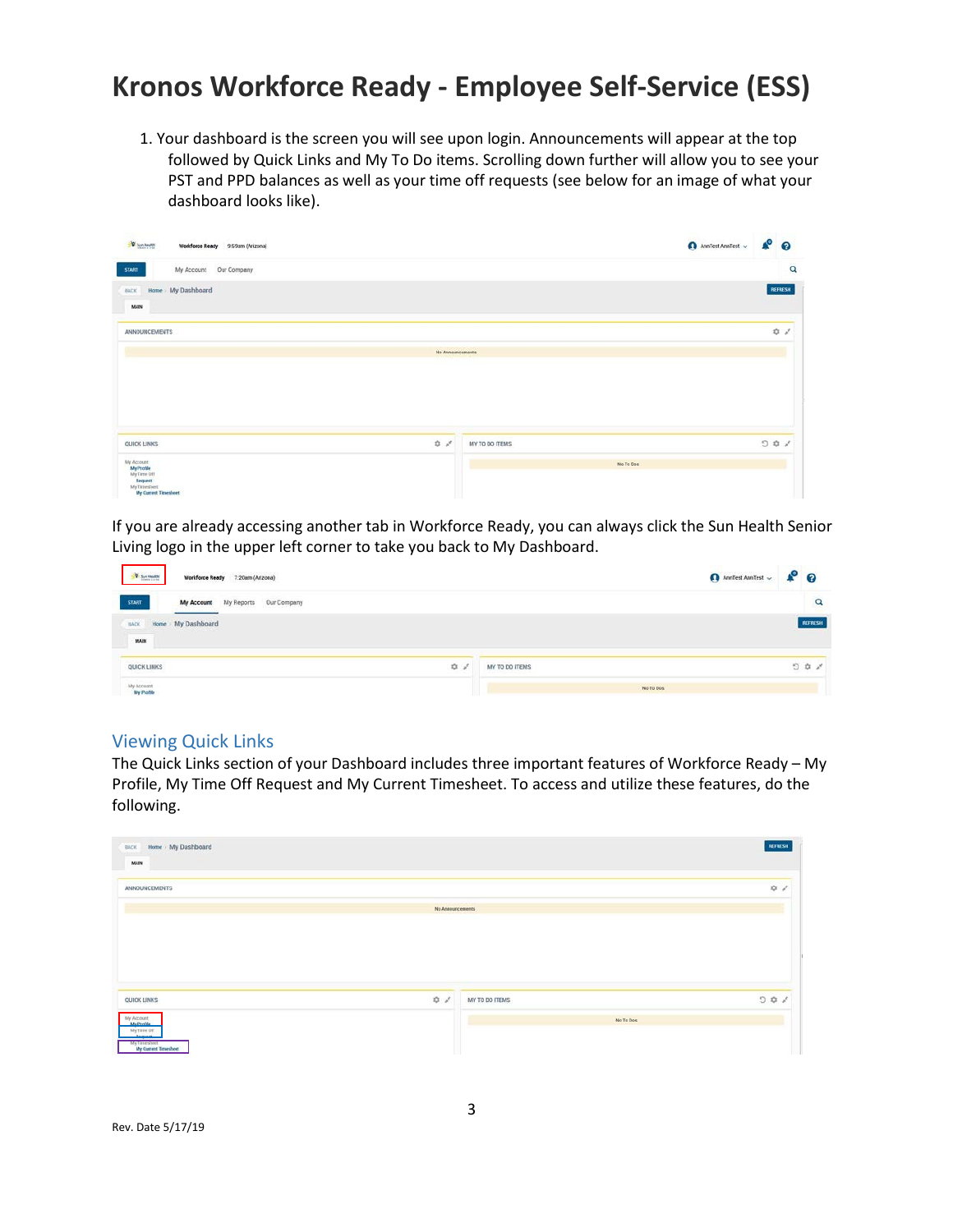1. Your dashboard is the screen you will see upon login. Announcements will appear at the top followed by Quick Links and My To Do items. Scrolling down further will allow you to see your PST and PPD balances as well as your time off requests (see below for an image of what your dashboard looks like).

| <b>D</b> business<br>Weekforce Ready 9:59am (Arizona) |                   |                | AnnTest AnnTest $\sim$ | $P^{\circ}$             |
|-------------------------------------------------------|-------------------|----------------|------------------------|-------------------------|
| My Account Our Company<br><b>START</b>                |                   |                |                        | $\overline{\mathbf{Q}}$ |
| Home My Dashboard<br>BACK                             |                   |                |                        | REFRESH                 |
| MAIN                                                  |                   |                |                        |                         |
| <b>ANNOUNCEMENTS</b>                                  |                   |                |                        | $Q = \rho^2$            |
|                                                       | No Announcements  |                |                        |                         |
|                                                       |                   |                |                        |                         |
|                                                       |                   |                |                        |                         |
|                                                       |                   |                |                        |                         |
| QUICK LINKS                                           | $D = \mathcal{S}$ | MY TO DO ITEMS |                        | 001                     |
| My Account<br>My Profile<br>My Time Off               |                   | No Te Dos      |                        |                         |
| <b>Bequest</b>                                        |                   |                |                        |                         |

If you are already accessing another tab in Workforce Ready, you can always click the Sun Health Senior Living logo in the upper left corner to take you back to My Dashboard.

| <b>D</b> Sun Health      | Workforce Ready 7:20am (Arizona)               | $\theta$ AmTest AmTest $\sim$ $\clubsuit$ $\theta$ |
|--------------------------|------------------------------------------------|----------------------------------------------------|
| <b>START</b>             | My Reports<br>Our Company<br><b>My Account</b> | Q                                                  |
| BACK<br>Home.<br>MAIN    | My Dashboard                                   | REFRESH<br><b>Communication</b>                    |
| QUICK LINKS<br>arskoaren | $\mathcal{D} \quad \mathcal{E}$                | MY TO DO ITEMS<br>$\circ$<br>1990 - Paul Berlin    |
| My Account<br>My Profile |                                                | No To Dos                                          |

#### Viewing Quick Links

The Quick Links section of your Dashboard includes three important features of Workforce Ready – My Profile, My Time Off Request and My Current Timesheet. To access and utilize these features, do the following.

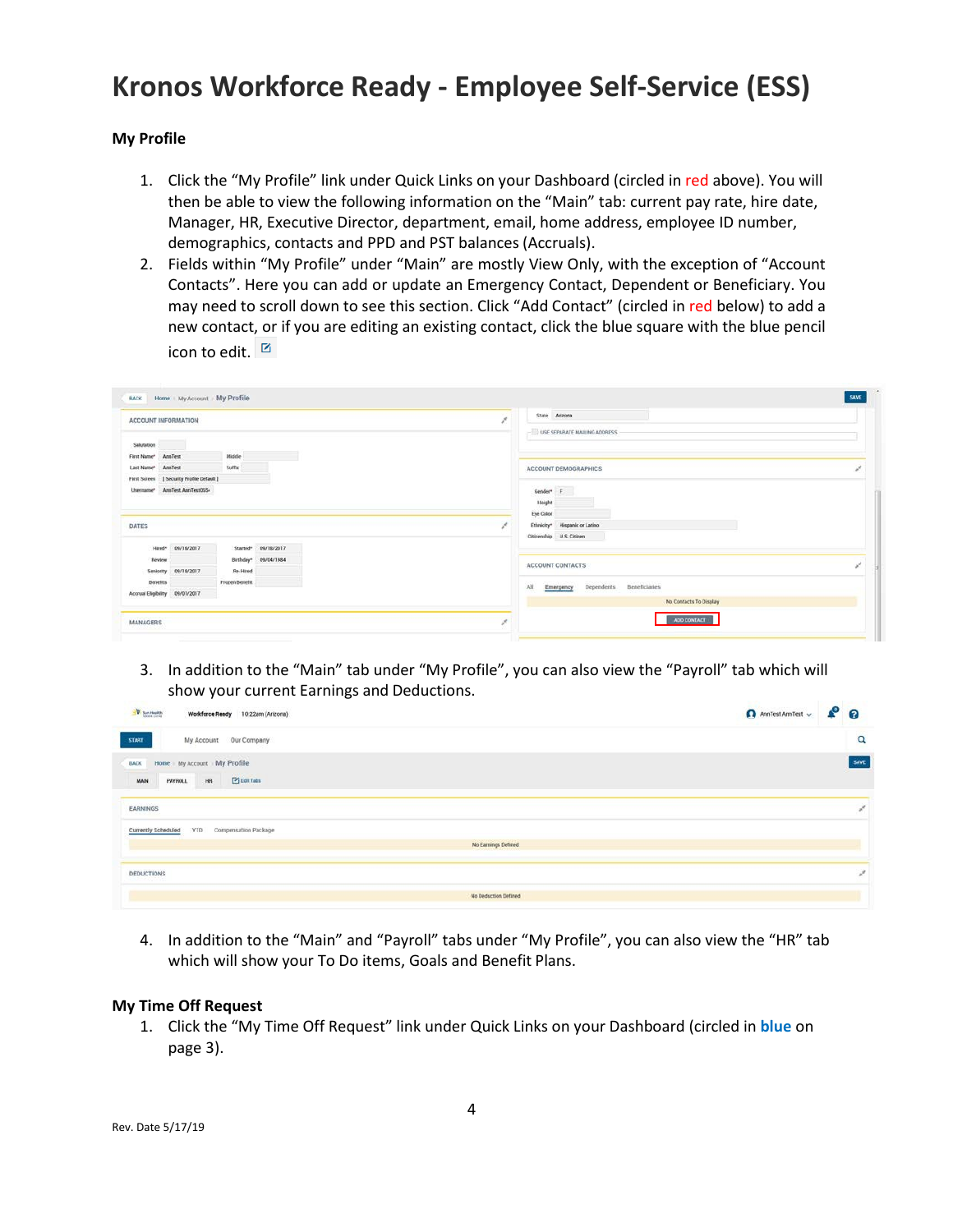#### **My Profile**

- 1. Click the "My Profile" link under Quick Links on your Dashboard (circled in red above). You will then be able to view the following information on the "Main" tab: current pay rate, hire date, Manager, HR, Executive Director, department, email, home address, employee ID number, demographics, contacts and PPD and PST balances (Accruals).
- 2. Fields within "My Profile" under "Main" are mostly View Only, with the exception of "Account Contacts". Here you can add or update an Emergency Contact, Dependent or Beneficiary. You may need to scroll down to see this section. Click "Add Contact" (circled in red below) to add a new contact, or if you are editing an existing contact, click the blue square with the blue pencil icon to edit.  $\Box$

| ACCOUNT INFORMATION                                                                                                                                                 | Arizona<br>State<br>×<br>USE SEPARATE MAILING ADDRESS                            |  |
|---------------------------------------------------------------------------------------------------------------------------------------------------------------------|----------------------------------------------------------------------------------|--|
| Salutation<br>Middle<br>AnnTest<br>First Name*<br>Suffix<br>AnnTest<br>Last Name*<br>  Security Profile Default<br>First Screen<br>AnnTest AnnTest055-<br>Username* | ACCOUNT DEMOGRAPHICS<br>Gender <sup>*</sup> F<br>Height                          |  |
| DATES<br>09/18/2017<br>Hired <sup>*</sup><br>Started <sup>®</sup><br>09/18/2017                                                                                     | Eye Color<br>Ethnicity* Hispanic or Latino<br>Chizenship U.S. Chizen             |  |
| Birthday* 09/04/1984<br>Review<br>09/18/2017<br>Re-Hired<br>Seniority                                                                                               | ACCOUNT CONTACTS                                                                 |  |
| Frozen Benefit<br><b>Benefits</b><br>Accruel Eligibility 09/01/2017                                                                                                 | Dependents<br><b>Beneficiaries</b><br>All<br>Emergency<br>No Contacts To Display |  |
| MANAGERS                                                                                                                                                            | ADD CONTACT                                                                      |  |

3. In addition to the "Main" tab under "My Profile", you can also view the "Payroll" tab which will show your current Earnings and Deductions.

| V Sun Health<br>10:22am (Arizona)<br><b>Workforce Ready</b>                                    | A AnniTest AnniTest v & O |
|------------------------------------------------------------------------------------------------|---------------------------|
| <b>START</b><br>My Account Our Company                                                         | $\alpha$                  |
| Home My Account My Profile<br><b>BACK</b><br><b>S</b> Lot Tabs<br>MAIN<br><b>PAYROLL</b><br>HR | SAVE                      |
| EARNINGS                                                                                       |                           |
| YTD<br>Compensation Package<br>Currently Scheduled<br>No Earnings Defined                      |                           |
| DEDUCTIONS                                                                                     | ×                         |
| No Deduction Defined                                                                           |                           |

4. In addition to the "Main" and "Payroll" tabs under "My Profile", you can also view the "HR" tab which will show your To Do items, Goals and Benefit Plans.

#### **My Time Off Request**

1. Click the "My Time Off Request" link under Quick Links on your Dashboard (circled in **blue** on page 3).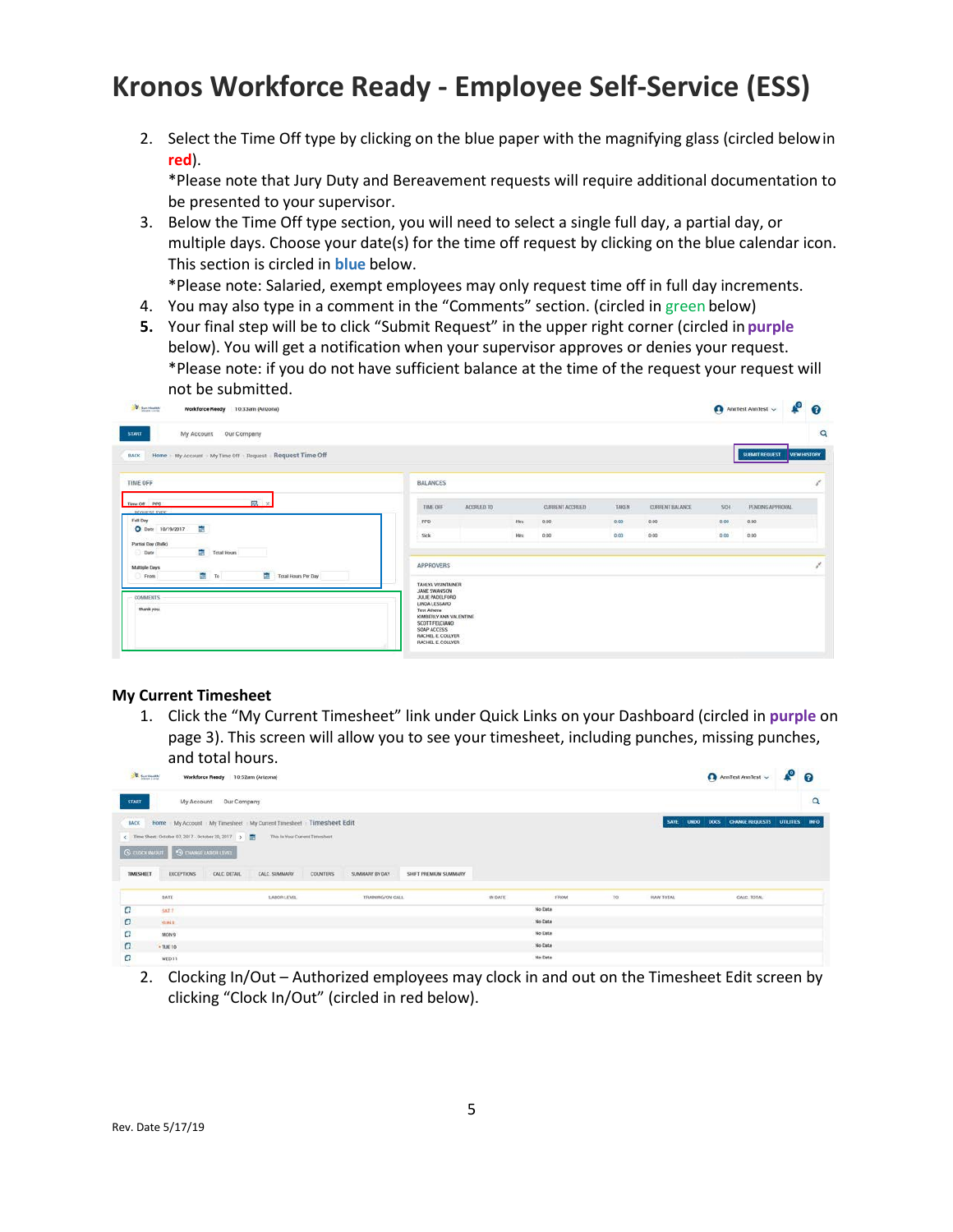2. Select the Time Off type by clicking on the blue paper with the magnifying glass (circled belowin **red**).

\*Please note that Jury Duty and Bereavement requests will require additional documentation to be presented to your supervisor.

3. Below the Time Off type section, you will need to select a single full day, a partial day, or multiple days. Choose your date(s) for the time off request by clicking on the blue calendar icon. This section is circled in **blue** below.

\*Please note: Salaried, exempt employees may only request time off in full day increments.

- 4. You may also type in a comment in the "Comments" section. (circled in green below)
- **5.** Your final step will be to click "Submit Request" in the upper right corner (circled in **purple** below). You will get a notification when your supervisor approves or denies your request. \*Please note: if you do not have sufficient balance at the time of the request your request will not be submitted.

| V Sunnisatty<br>Workforce Ready 10:33am (Arizona)                           |                                                                                                                                                                                                          |            |      |                 |                    |                        |            | AnnTest AnnTest $\sim$ | $P^{\circ}$         |          |
|-----------------------------------------------------------------------------|----------------------------------------------------------------------------------------------------------------------------------------------------------------------------------------------------------|------------|------|-----------------|--------------------|------------------------|------------|------------------------|---------------------|----------|
| My Account<br>Our Company<br><b>START</b>                                   |                                                                                                                                                                                                          |            |      |                 |                    |                        |            |                        |                     | $\alpha$ |
| Home > My Account > My Time Off > Request > Request Time Off<br><b>BACK</b> |                                                                                                                                                                                                          |            |      |                 |                    |                        |            | SUBMIT REQUEST         | <b>VIEW HISTORY</b> |          |
| TIME OFF                                                                    | <b>BALANCES</b>                                                                                                                                                                                          |            |      |                 |                    |                        |            |                        |                     |          |
| B ×<br>Time Off PPD<br>- REQUEST-TYPE                                       | TIME OFF                                                                                                                                                                                                 | ACCRUED TO |      | CURRENT ACCRUED | The Story<br>TAKEN | <b>CURRENT BALANCE</b> | <b>SCH</b> | PENDING APPROVAL       |                     |          |
| Foll Day                                                                    | PPD                                                                                                                                                                                                      |            | Hrs  | 0.00            | 0.00               | 0.00                   | 0.00       | 0.00.                  |                     |          |
| G.<br>O Date 10/19/2017<br>Partial Day (Bulk)<br>로<br>Total Hours<br>Date   | Sick                                                                                                                                                                                                     |            | Hrs: | 0.00            | 0.00               | 0.00                   | 0.00       | 0.00                   |                     |          |
| Multiple Days<br>图 10<br>Total Hours Per Day<br>From                        | APPROVERS                                                                                                                                                                                                |            |      |                 |                    |                        |            |                        |                     |          |
| COMMERTS<br>thank you.                                                      | <b>TAHUYA VISINTAINER</b><br><b>JANE SWANSON</b><br>JULIE PADELFORD<br>LINDA LESSARD<br>Test Athena<br>KIMBERLY ANN VALENTINE<br>SCOTT FELCIANO<br>SOAP ACCESS<br>RACHEL E. COLLYER<br>RACHEL E. COLLYER |            |      |                 |                    |                        |            |                        |                     |          |

#### **My Current Timesheet**

1. Click the "My Current Timesheet" link under Quick Links on your Dashboard (circled in **purple** on page 3). This screen will allow you to see your timesheet, including punches, missing punches, and total hours.

| <b>W. Sun Health</b> |                                                       | Workforce Ready 10:52am (Arizona)                                                                                                                                                              |                                   |                       |                |             |    |                  | Anniest Anniest v & O     |                |          |
|----------------------|-------------------------------------------------------|------------------------------------------------------------------------------------------------------------------------------------------------------------------------------------------------|-----------------------------------|-----------------------|----------------|-------------|----|------------------|---------------------------|----------------|----------|
| <b>START</b>         |                                                       | My Account Our Company                                                                                                                                                                         |                                   |                       |                |             |    |                  |                           |                | $\alpha$ |
| TIMESHEET            | C CLOCK WITH C DIMNE LABOR LEVEL<br><b>EXCEPTIONS</b> | IMOX Home My Account My Timesheet My Current Timesheet Timesheet Edit<br>C Time Sheet: October 07, 2017 - October 20, 2017 ><br>This Is Your Current Timesheet<br>CALC DETAIL<br>CALC: SUMMARY | <b>COUNTERS</b><br>SUMMARY BY DAY | SHIFT PREMIUM SUMMARY |                |             |    | SAVE             | UNDO DOCS CHANGE REQUESTS | UTILITIES INFO |          |
|                      | DATE                                                  | LABOR LEVEL                                                                                                                                                                                    | TRAINING/ON CALL                  |                       | <b>IN DATE</b> | <b>FROM</b> | 10 | <b>IUW TOTAL</b> | CALC TOTAL                |                |          |
| a                    | SAT 7                                                 |                                                                                                                                                                                                |                                   |                       |                | No Data     |    |                  |                           |                |          |
| α                    | SUNT.                                                 |                                                                                                                                                                                                |                                   |                       |                | No Data     |    |                  |                           |                |          |
| а                    | MON'9                                                 |                                                                                                                                                                                                |                                   |                       |                | No Data     |    |                  |                           |                |          |
| $\Box$               | $+TUE$ TO                                             |                                                                                                                                                                                                |                                   |                       |                | No Data     |    |                  |                           |                |          |
| а                    | WED 11                                                |                                                                                                                                                                                                |                                   |                       |                | No Data     |    |                  |                           |                |          |

2. Clocking In/Out – Authorized employees may clock in and out on the Timesheet Edit screen by clicking "Clock In/Out" (circled in red below).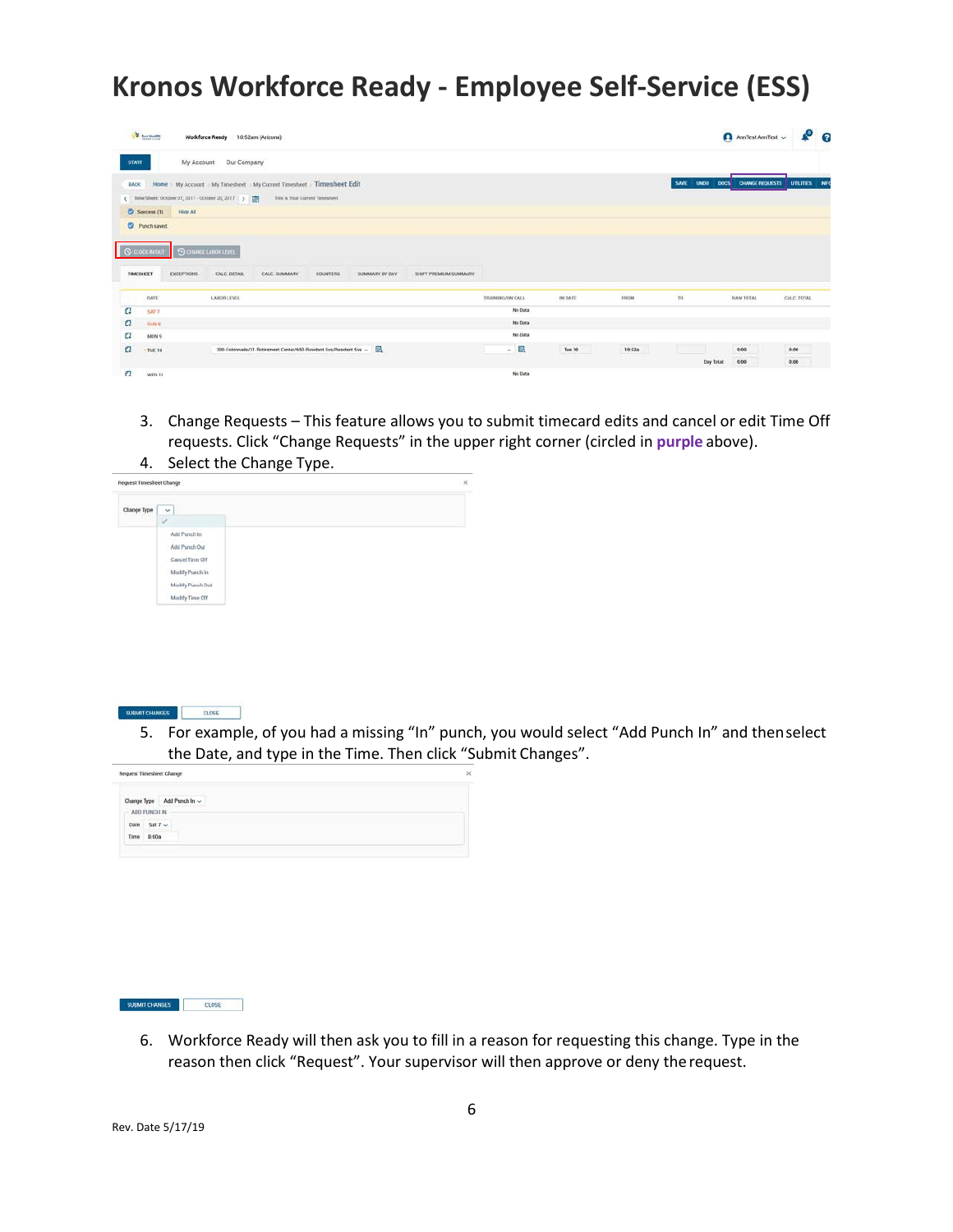|                             | <b>V</b> Sun Health |                   | <b>Workforce Ready</b>                             | 10:52am (Arizona)                                                        |                                |                |                       |                  |         |                                    |                      | AnnTest AnnTest $\sim$  | $\sqrt{2}$   |  |
|-----------------------------|---------------------|-------------------|----------------------------------------------------|--------------------------------------------------------------------------|--------------------------------|----------------|-----------------------|------------------|---------|------------------------------------|----------------------|-------------------------|--------------|--|
| <b>START</b>                |                     | My Account        | Our Company                                        |                                                                          |                                |                |                       |                  |         |                                    |                      |                         |              |  |
| <b>BACK</b>                 |                     |                   |                                                    | Home > My Account > My Timesheet > My Current Timesheet > Timesheet Edit |                                |                |                       |                  |         |                                    | <b>SAVE</b><br>LINDO | DOCS CHANGE REQUESTS    | UTRITIES INC |  |
|                             |                     |                   | Time Sheet: October 07, 2017 - October 20, 2017 >  |                                                                          | This is Your Current Timesheet |                |                       |                  |         |                                    |                      |                         |              |  |
|                             | $O$ Success (1)     | Hide All          |                                                    |                                                                          |                                |                |                       |                  |         |                                    |                      |                         |              |  |
|                             | C Punch saved.      |                   |                                                    |                                                                          |                                |                |                       |                  |         |                                    |                      |                         |              |  |
| S CLOCK NATURE<br>TIMESHEET |                     | <b>EXCEPTIONS</b> | <b>9 CHANGE LABOR LEVEL</b><br><b>CALC. DETAIL</b> | CALC, SUMMARY                                                            | <b>COUNTERS</b>                | SUMMARY BY DAY | SHIFT PREMIUM SUMMARY |                  |         |                                    |                      |                         |              |  |
|                             | <b>DATE</b>         |                   | LABOR LEVEL                                        |                                                                          |                                |                |                       | TRAINING/ON CALL | IN DATE | FROM                               | TO:                  | <b><i>IMW TOTAL</i></b> | CALC, TOTAL  |  |
| α                           | SAT7                |                   |                                                    |                                                                          |                                |                |                       | No Data          |         |                                    |                      |                         |              |  |
| a                           | <b>SUN 8</b>        |                   |                                                    |                                                                          |                                |                |                       | No Data          |         |                                    |                      |                         |              |  |
| α                           | MON 9               |                   |                                                    |                                                                          |                                |                |                       | No Data          |         |                                    |                      |                         |              |  |
| а                           | $-$ TUE 10          |                   |                                                    | 300-Colonnade/31-Retirement Center/650-Resident Sys/Resident Sys ~       |                                |                |                       | - 區              | Tue 10  | <b><i>ASSESSMENT</i></b><br>10:52a |                      | 0.00                    | 0.00         |  |
|                             |                     |                   |                                                    |                                                                          |                                |                |                       |                  |         |                                    | Day Total:           | 0.00                    | 0.00.        |  |
| $\sigma$                    | WED 11              |                   |                                                    |                                                                          |                                |                |                       | No Data          |         |                                    |                      |                         |              |  |

3. Change Requests – This feature allows you to submit timecard edits and cancel or edit Time Off requests. Click "Change Requests" in the upper right corner (circled in **purple** above). 4. Select the Change Type.





5. For example, of you had a missing "In" punch, you would select "Add Punch In" and thenselect the Date, and type in the Time. Then click "Submit Changes".

| <b>SUBMIT CHANGES</b> |  |
|-----------------------|--|

6. Workforce Ready will then ask you to fill in a reason for requesting this change. Type in the reason then click "Request". Your supervisor will then approve or deny therequest.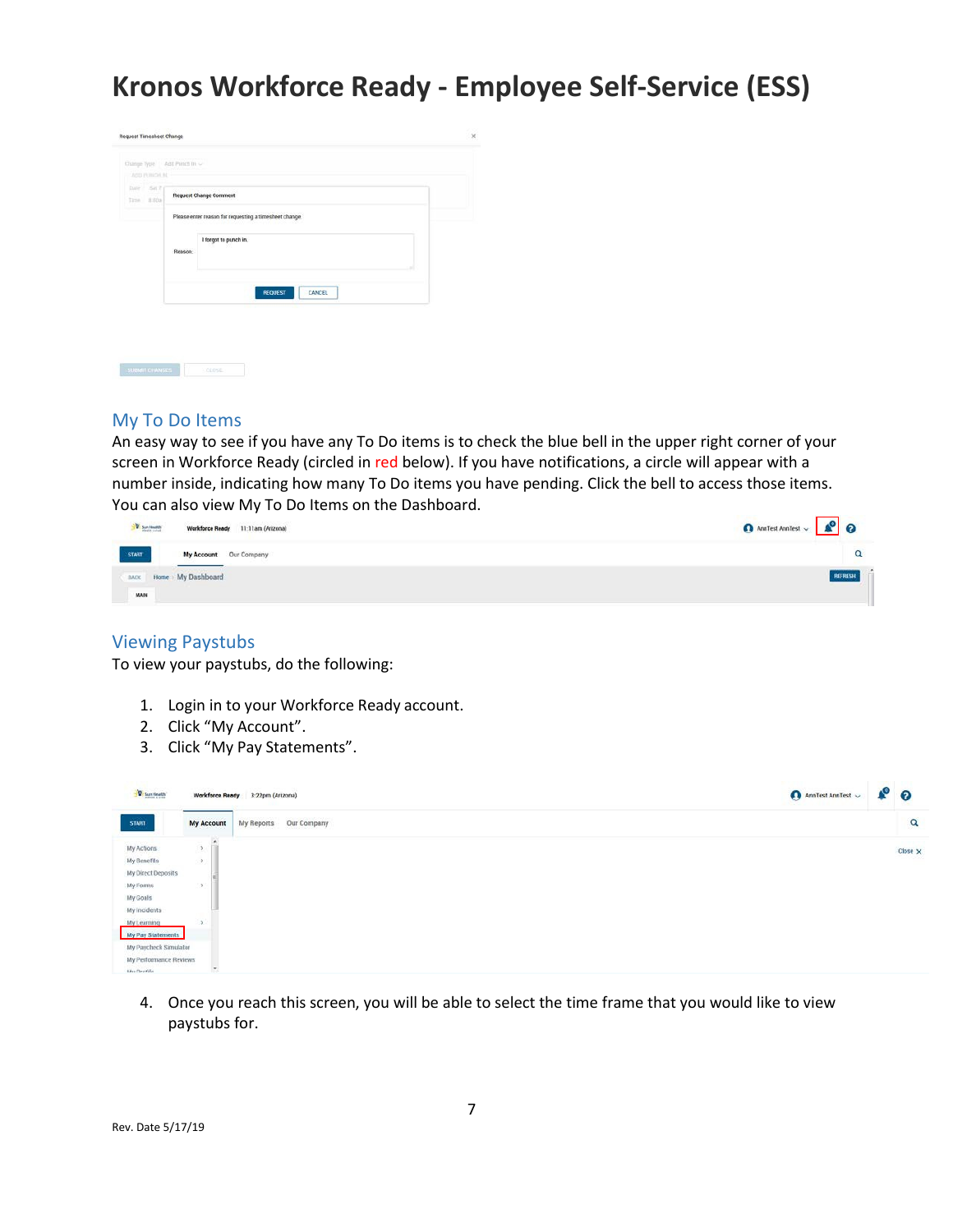

#### My To Do Items

An easy way to see if you have any To Do items is to check the blue bell in the upper right corner of your screen in Workforce Ready (circled in red below). If you have notifications, a circle will appear with a number inside, indicating how many To Do items you have pending. Click the bell to access those items. You can also view My To Do Items on the Dashboard.

| <b>V</b> Seriously<br>Workforce Ready 11:11am (Arizona) | O AmTest Anniest v & O |
|---------------------------------------------------------|------------------------|
| START<br>My Account Our Company                         |                        |
| Home > My Dashboard<br><b>BACK</b>                      | REFRESH                |
| MAIN                                                    |                        |

#### Viewing Paystubs

To view your paystubs, do the following:

- 1. Login in to your Workforce Ready account.
- 2. Click "My Account".
- 3. Click "My Pay Statements".

| W San Health           |                       | Workforce Ready 3:22pm (Arizona) | AnnTest AnnTest $\sim$ | $\bullet$ 0 |          |
|------------------------|-----------------------|----------------------------------|------------------------|-------------|----------|
| STAILT                 | <b>My Account</b>     | Our Company<br>My Reports        |                        |             | $\alpha$ |
| My Actions             | $\geq$                |                                  |                        |             | Close X  |
| My Benefits            | $\boldsymbol{\Sigma}$ |                                  |                        |             |          |
| My Direct Deposits     |                       |                                  |                        |             |          |
| My Forms               | $\,$                  |                                  |                        |             |          |
| My Goals               |                       |                                  |                        |             |          |
| My Incidents           |                       |                                  |                        |             |          |
| My Learning            | э                     |                                  |                        |             |          |
| My Pay Statements      |                       |                                  |                        |             |          |
| My Paycheck Simulator  |                       |                                  |                        |             |          |
| My Performance Reviews |                       |                                  |                        |             |          |

4. Once you reach this screen, you will be able to select the time frame that you would like to view paystubs for.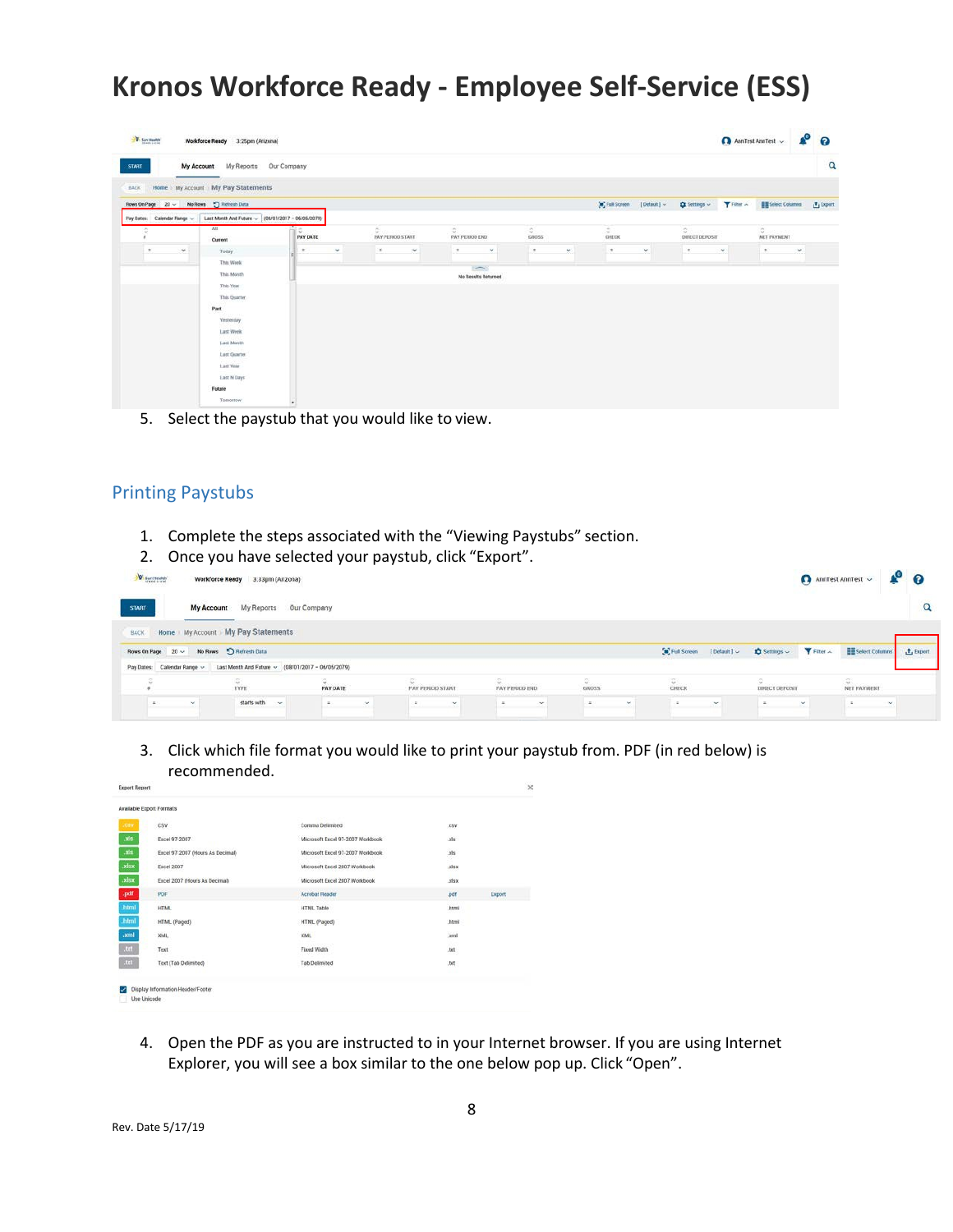| <b>V</b> Sun Health                      | Workforce Ready 3:25pm (Arizona)                                                                                                                                                      |                       |                                                 |                                                 |                  |    |                    |                             |                                                     |          | AnnTest AnnTest $\sim$                      |        | $A^{\circ}$ $\circ$ |
|------------------------------------------|---------------------------------------------------------------------------------------------------------------------------------------------------------------------------------------|-----------------------|-------------------------------------------------|-------------------------------------------------|------------------|----|--------------------|-----------------------------|-----------------------------------------------------|----------|---------------------------------------------|--------|---------------------|
| START                                    | My Account My Reports Our Company                                                                                                                                                     |                       |                                                 |                                                 |                  |    |                    |                             |                                                     |          |                                             |        | $\alpha$            |
| Rows On Page 20 ~ No Rows 5 Reflesh Data | BACK Home My Account My Pay Statements                                                                                                                                                |                       |                                                 |                                                 |                  |    |                    | [a] Full Screen [Default] ~ | $\bigcirc$ Settings $\sim$ $\bigcirc$ Filter $\sim$ |          | Select Columns                              |        | <b>上</b> Export     |
| Pay Dates: Calendar Range ~              | Last Month And Future ~ (08/01/2017 - 06/05/2079)                                                                                                                                     |                       |                                                 |                                                 |                  |    |                    |                             |                                                     |          |                                             |        |                     |
|                                          | M<br>Current                                                                                                                                                                          | a.<br><b>PAY DATE</b> | 0.0000<br><b>CONTRACTOR</b><br>PAY PERIOD START | 0.000.000<br>PAY PERIOD END                     | $\circ$<br>GROSS |    | $\approx$<br>CHECK |                             | DIRECT DEPOSIT                                      |          | $\circ$ . The second $\circ$<br>NET PAYMENT |        |                     |
| $\pi$<br>$\sim$                          | Today                                                                                                                                                                                 | $\pi^-$<br>$\sim$     | in the<br>- Sec                                 | $\pm$<br>$\sim$                                 | 1                | w. | $-1$               | $\check{\phantom{a}}$       | $\pi^-$                                             | $\omega$ | $\mathbb{R}$                                | $\sim$ |                     |
|                                          | This Week<br>This Month<br>This Year.<br>This Quarter<br>Past<br><b>Yestenday</b><br>Last Week<br>Last Month<br>Last Quarter<br>Last Year<br><b>Last N Days</b><br>Future<br>Tomorrow |                       |                                                 | $\overline{\phantom{a}}$<br>No Results Returned |                  |    |                    |                             |                                                     |          |                                             |        |                     |

5. Select the paystub that you would like to view.

### Printing Paystubs

- 1. Complete the steps associated with the "Viewing Paystubs" section.
- 2. Once you have selected your paystub, click "Export".

| Sun Health    |            | Workforce Ready 3.33pm (Arizona)                                              |                 |                         |                                                 |            |        | Ann<br>Test Ann<br>Test $\sim$ | $\bullet$ 0 |              |
|---------------|------------|-------------------------------------------------------------------------------|-----------------|-------------------------|-------------------------------------------------|------------|--------|--------------------------------|-------------|--------------|
| <b>START:</b> |            | My Account My Reports Our Company                                             |                 |                         |                                                 |            |        |                                |             | $\alpha$     |
| <b>BACK</b>   |            | Home My Account My Pay Statements                                             |                 |                         |                                                 |            |        |                                |             |              |
|               |            | Rows On Page 20 ~ No Rows 5 Refresh Data                                      |                 |                         |                                                 |            |        |                                |             | $t$ , Export |
|               |            | Pay Dates: Calendar Range ~ Last Month And Future ~ (08/01/2017 - 06/05/2079) |                 |                         |                                                 |            |        |                                |             |              |
|               |            | <b>TYPE</b>                                                                   | <b>PAY DATE</b> | <b>PAY PERIOD START</b> | <b>Construction Services</b><br>PAY PERIOD END. | GROSS      | CHECK  | DIRECT DEPOSIT                 | NET PAYMENT |              |
|               | <b>But</b> | starts with                                                                   | $\sim$          | $\sim$                  |                                                 | <b>Not</b> | $\sim$ | $\sim$                         |             |              |

3. Click which file format you would like to print your paystub from. PDF (in red below) is recommended.

| Available Export Formats         |                                   |                      |        |
|----------------------------------|-----------------------------------|----------------------|--------|
| CSV                              | Comma Delimited                   | .CSV                 |        |
| Excel 97-2007                    | Microsoft Excel 97-2007 Worldbook | .xls                 |        |
| Excel 97-2007 (Hours As Decimal) | Microsoft Excel 97-2007 Workbook  | <b>W</b><br>xis<br>÷ |        |
| <b>Excel 2007</b>                | Microsoft Excel 2007 Workbook     | xisx                 |        |
| Excel 2007 (Hours As Decimal)    | Microsoft Excel 2007 Workbook     | .xlsx                |        |
| PDF                              | Acrobat Reader                    | .pdf                 | Export |
| <b>HTML</b>                      | <b>HTML Table</b>                 | html                 |        |
| HTML (Paged)                     | HTML (Paged)                      | .html                |        |
| XML                              | XML                               | xml                  |        |
| Text                             | Fixed Width                       | .txt                 |        |
| Text (Tab Delimited)             | <b>Tab Delimited</b>              | .bit                 |        |

4. Open the PDF as you are instructed to in your Internet browser. If you are using Internet Explorer, you will see a box similar to the one below pop up. Click "Open".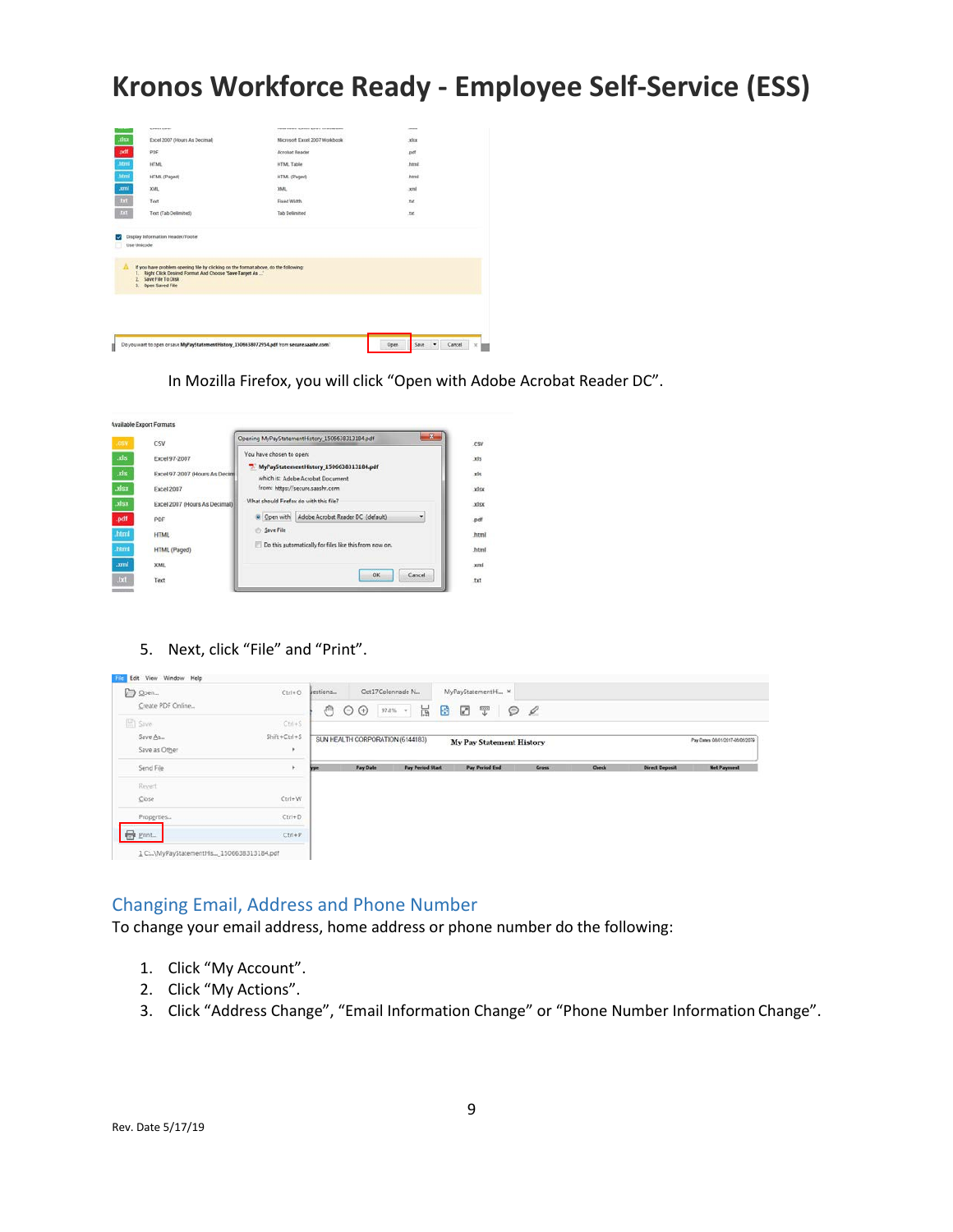

In Mozilla Firefox, you will click "Open with Adobe Acrobat Reader DC".

| .CSV          | CSV                                                                         | 筹<br>Opening MyPayStatementHistory 1506638313184.pdf                                                                                             |
|---------------|-----------------------------------------------------------------------------|--------------------------------------------------------------------------------------------------------------------------------------------------|
| .xls<br>xisx. | <b>Excel 97-2007</b><br>Excel 97-2007 (Hours As Decimi<br><b>Excel 2007</b> | You have chosen to open:<br>MyPayStatementHistory 1506638313184.pdf<br>75<br>which is: Adobe Acrobat Document<br>from: https://secure.saashr.com |
|               | Excel 2007 (Hours As Decimal)                                               | What should Firefox do with this file?                                                                                                           |
|               | PDF                                                                         | Adobe Acrobat Reader DC (default)<br>Open with<br>٠                                                                                              |
|               | <b>HTML</b>                                                                 | Save File                                                                                                                                        |
|               | HTML (Paged)                                                                | Do this automatically for files like this from now on.                                                                                           |
|               | XML                                                                         |                                                                                                                                                  |
|               | Text                                                                        | OK<br>Cancel                                                                                                                                     |

5. Next, click "File" and "Print".

| D Open                                   | $Ctrl + O$     | Jestions       |                 | Oct17Colonnade N.                | MyPayStatementHi x              |                    |              |                       |                                  |
|------------------------------------------|----------------|----------------|-----------------|----------------------------------|---------------------------------|--------------------|--------------|-----------------------|----------------------------------|
| Create PDF Online                        |                | $\mathbb{R}^n$ | Θ<br>$\odot$    | $97.8\%$ +<br>$\overline{B}$     | Ø<br>₩<br>₽                     | $\mathcal{Q}$<br>⊝ |              |                       |                                  |
| $\Xi$ Save                               | $Ctri+S$       |                |                 |                                  |                                 |                    |              |                       |                                  |
| Save As                                  | $Shift+Ctrl+S$ |                |                 | SUN HEALTH CORPORATION (6144183) | <b>My Pay Statement History</b> |                    |              |                       | Pay Dates: 08/01/2017-06/05/2079 |
| Save as Other                            |                |                |                 |                                  |                                 |                    |              |                       |                                  |
| Send File                                | r.             | <b>Vale</b>    | <b>Pay Date</b> | <b>Pay Period Start</b>          | <b>Pay Period End</b>           | <b>Grass</b>       | <b>Check</b> | <b>Direct Deposit</b> | <b>Net Payment</b>               |
| Revert                                   |                |                |                 |                                  |                                 |                    |              |                       |                                  |
| Close                                    | $Ctrl+W$<br>.  |                |                 |                                  |                                 |                    |              |                       |                                  |
| Properties                               | $Ctrl + D$     |                |                 |                                  |                                 |                    |              |                       |                                  |
| $\bigoplus$<br>Print.                    | $Ctrl + P$     |                |                 |                                  |                                 |                    |              |                       |                                  |
| 1 C:\MyPayStatementHis 1506638313184.pdf |                |                |                 |                                  |                                 |                    |              |                       |                                  |

#### Changing Email, Address and Phone Number

To change your email address, home address or phone number do the following:

- 1. Click "My Account".
- 2. Click "My Actions".
- 3. Click "Address Change", "Email Information Change" or "Phone Number Information Change".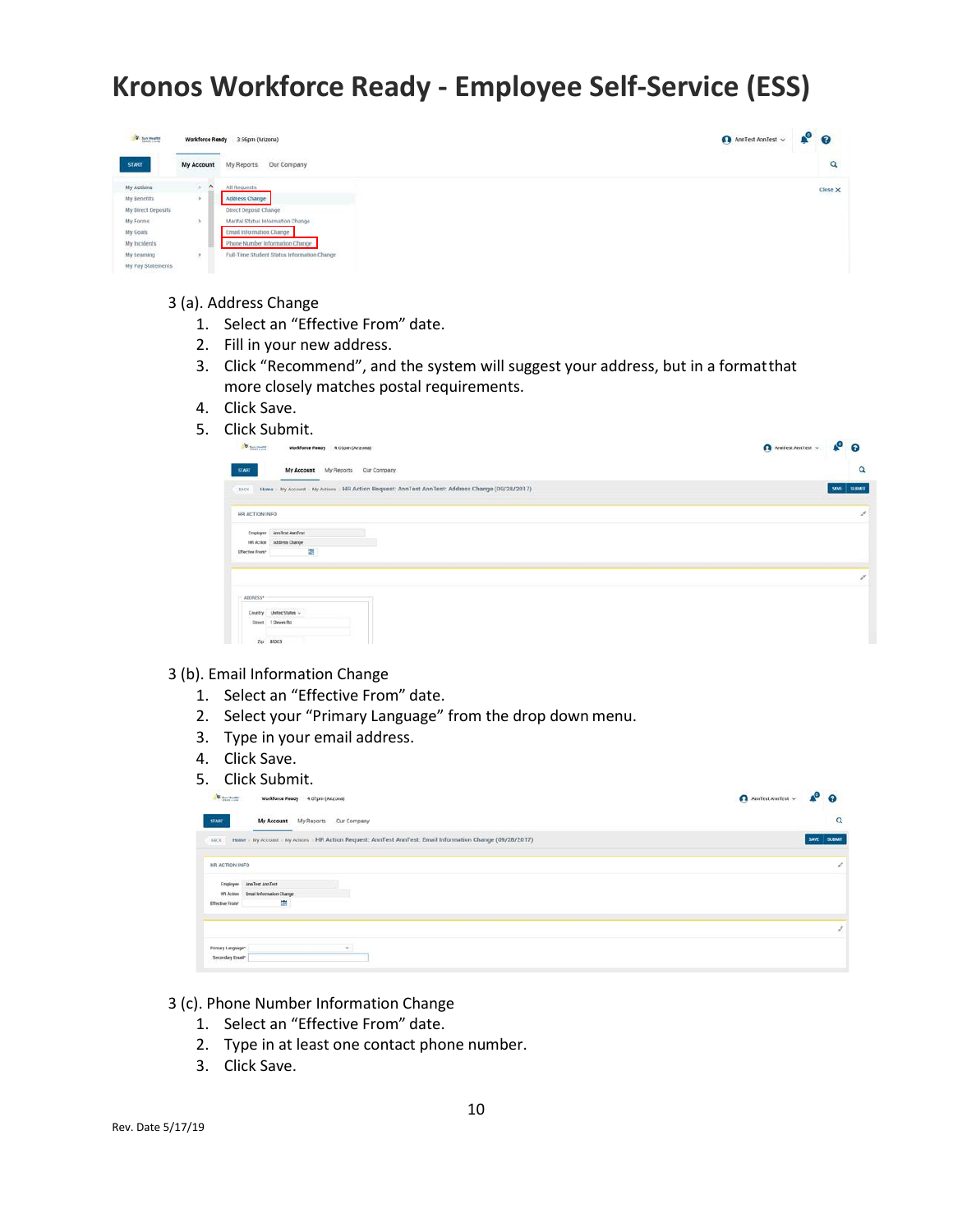

#### 3 (a). Address Change

- 1. Select an "Effective From" date.
- 2. Fill in your new address.
- 3. Click "Recommend", and the system will suggest your address, but in a formatthat more closely matches postal requirements.
- 4. Click Save.
- 5. Click Submit.

| <b>W</b> Secretary<br>Workforce Ready 4.05pm (Arizona)                                                    | A Antiest Amilest v & O |
|-----------------------------------------------------------------------------------------------------------|-------------------------|
| 53487<br>My Account My Reports Cur Company                                                                | Q                       |
| Home : My Account - My Actions : HR Action Request: AnnTest AnnTest: Address Change (09/28/2017)<br>BACK- | <b>SUBAT</b><br>SAVE    |
| HR ACTION INFO                                                                                            | y                       |
| Engloyee AnnTest AnnTest<br>HR Action Address Change                                                      |                         |
| 露<br><b>Effective From*</b>                                                                               |                         |
|                                                                                                           |                         |
| ADORESS*                                                                                                  |                         |
| United States<br><b>Country</b><br>1 Deven Bd<br><b>Street</b>                                            |                         |
| $Z_{\rm B}$ 85003                                                                                         |                         |

- 3 (b). Email Information Change
	- 1. Select an "Effective From" date.
	- 2. Select your "Primary Language" from the drop down menu.
	- 3. Type in your email address.
	- 4. Click Save.
	- 5. Click Submit.

| <b>U</b> Bandbath<br>Workforce Ready 4.07pm (Arizona)                                                                     | A Antiest Availent v. A Q |
|---------------------------------------------------------------------------------------------------------------------------|---------------------------|
| My Account My Reports Our Company<br><b>START</b>                                                                         | $\alpha$                  |
| Home > My Account - My Actions - HR Action Request: AnnTest AnnTest: Email Information Change (09/28/2017)<br><b>BACK</b> |                           |
| HR ACTION INFO                                                                                                            |                           |
| Engloyee AnaTest AnaTest                                                                                                  |                           |
| 197 Action Email Information Change<br>靈<br>Effective From*                                                               |                           |
|                                                                                                                           |                           |
| Printery Languager                                                                                                        |                           |
| Secondary Email*                                                                                                          |                           |

- 3 (c). Phone Number Information Change
	- 1. Select an "Effective From" date.
	- 2. Type in at least one contact phone number.
	- 3. Click Save.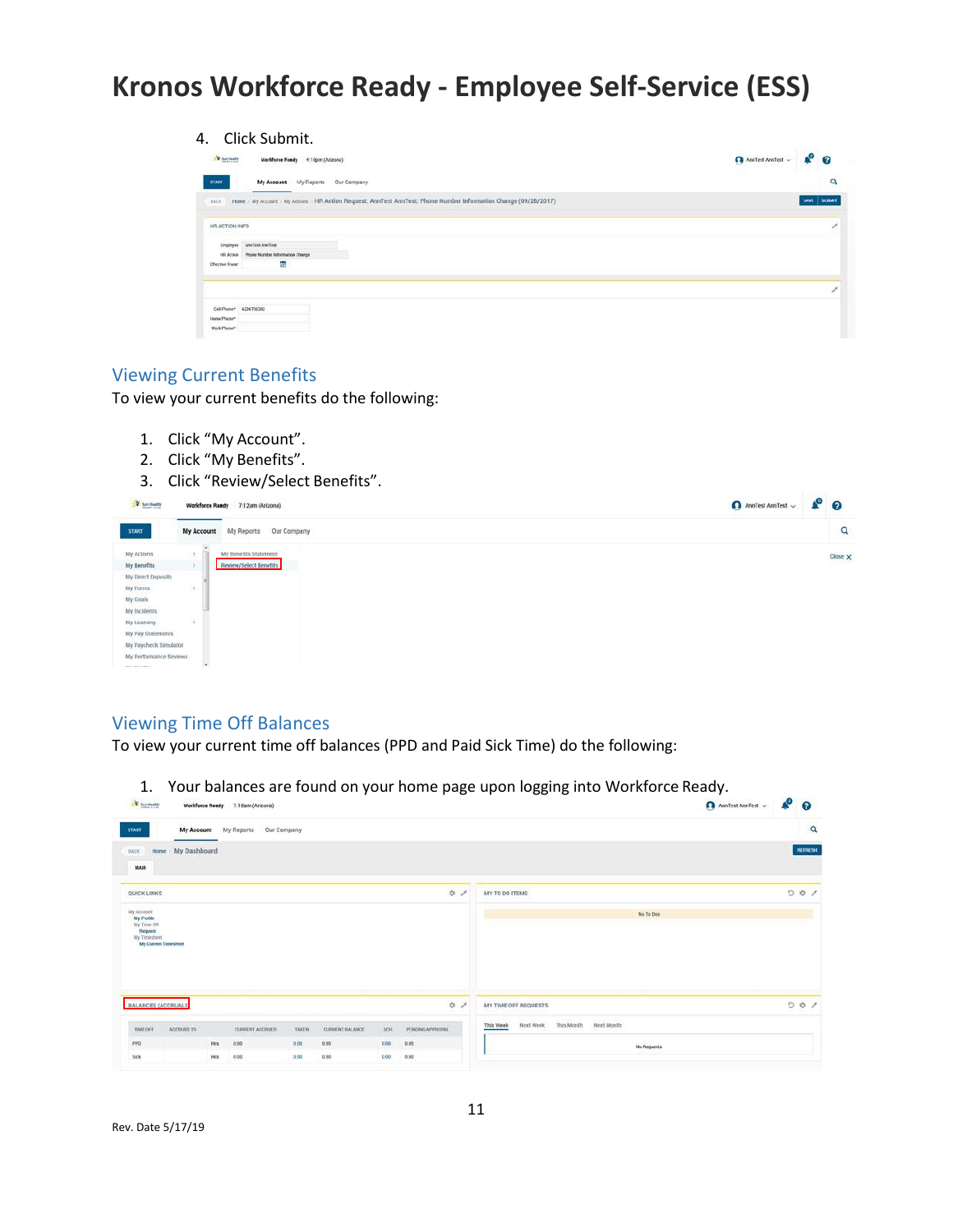| Click Submit.<br>4.                                                                                                        |                        | λO.           |
|----------------------------------------------------------------------------------------------------------------------------|------------------------|---------------|
| <b>Charlesto</b><br>Worldforce Rendy 4:10pm (Arizona)                                                                      | AnnTest AnnTest $\sim$ | $\Omega$      |
| My Account My Reports<br>Our Company<br>START                                                                              |                        | Q             |
| Home / My Account / My Actions / HR Action Request: AnnTest AnnTest: Phone Number Information Change (09/28/2017)<br>BACK. | <b>SAVE</b>            | <b>SUMMER</b> |
| HR ACTION INFO                                                                                                             |                        |               |
| Eingloyee AnnTest AnnTest                                                                                                  |                        |               |
| Phone Number Information Change<br>HR Action                                                                               |                        |               |
| s<br><b>Effective Frees*</b>                                                                                               |                        |               |
|                                                                                                                            |                        |               |
| Call Phone* 4236708302                                                                                                     |                        |               |
| Home Phone*                                                                                                                |                        |               |
| Work Please"                                                                                                               |                        |               |

#### Viewing Current Benefits

To view your current benefits do the following:

- 1. Click "My Account".
- 2. Click "My Benefits".
- 3. Click "Review/Select Benefits".

| W sun Health           | Workforce Ready | 7:12am (Arizona)          |  |  | AnnTest AnnTest $\sim$ | $P^{\circ}$    |  |
|------------------------|-----------------|---------------------------|--|--|------------------------|----------------|--|
| <b>START</b>           | My Account      | Our Company<br>My Reports |  |  |                        | Q              |  |
| My Actions             | ×               | My Benefits Statement     |  |  |                        | Close $\times$ |  |
| My Benefits            |                 | Review/Select Benefits    |  |  |                        |                |  |
| My Direct Deposits     |                 |                           |  |  |                        |                |  |
| My Forms               |                 |                           |  |  |                        |                |  |
| My Goals               |                 |                           |  |  |                        |                |  |
| My Incidents           |                 |                           |  |  |                        |                |  |
| My Learning            | $\rightarrow$   |                           |  |  |                        |                |  |
| My Pay Statements      |                 |                           |  |  |                        |                |  |
| My Paycheck Simulator  |                 |                           |  |  |                        |                |  |
| My Performance Reviews |                 |                           |  |  |                        |                |  |
| A few Photo Editor     | ٠               |                           |  |  |                        |                |  |

### Viewing Time Off Balances

To view your current time off balances (PPD and Paid Sick Time) do the following:

1. Your balances are found on your home page upon logging into Workforce Ready.

|                                                                     | <b>V</b> : Sun Health | Workforce Ready 7:18am (Arizona) |             |                        |      |                                                                  |                                      |                           | Anniest Anniest $\sim$ | $\bullet$ 0 |                |
|---------------------------------------------------------------------|-----------------------|----------------------------------|-------------|------------------------|------|------------------------------------------------------------------|--------------------------------------|---------------------------|------------------------|-------------|----------------|
| <b>START</b>                                                        |                       | My Account My Reports            | Our Company |                        |      |                                                                  |                                      |                           |                        |             | $\alpha$       |
| <b>BACK</b><br>Home                                                 | My Dashboard          |                                  |             |                        |      |                                                                  |                                      |                           |                        |             | <b>RUTHESI</b> |
| MAIN                                                                |                       |                                  |             |                        |      |                                                                  |                                      |                           |                        |             |                |
| <b>QUICK LINKS</b>                                                  |                       |                                  |             |                        |      | $\begin{array}{ccccc}\updownarrow&\swarrow&\nearrow&\end{array}$ | MY TO DO ITEMS                       |                           |                        | O           | 0/             |
| My Account<br>My Profile<br>My Time Off.<br>Request<br>My Tenesheet | My Current Timesbeet  |                                  |             |                        |      |                                                                  |                                      | No To Dos                 |                        |             |                |
|                                                                     |                       |                                  |             |                        |      |                                                                  |                                      |                           |                        |             |                |
| BALANCES (ACCRUALS)                                                 |                       |                                  |             |                        |      | $\begin{array}{ccc}\n\bullet & \star & \star\end{array}$         | MY TIME OFF REQUESTS                 |                           |                        |             | 001            |
| TIME OFF                                                            | ACCRUED TO            | CURRENT ACCRUED                  | TAKEN       | <b>CURRENT BALANCE</b> | SCH  | PENDING APPROVAL                                                 | This Month<br>Next Week<br>This Week | <b>MARK</b><br>Next Month |                        |             |                |
| PPD                                                                 |                       | Hrs:<br>0.00                     | 0.00        | 0.00                   | 0.00 | 0.00                                                             |                                      | No Requests               |                        |             |                |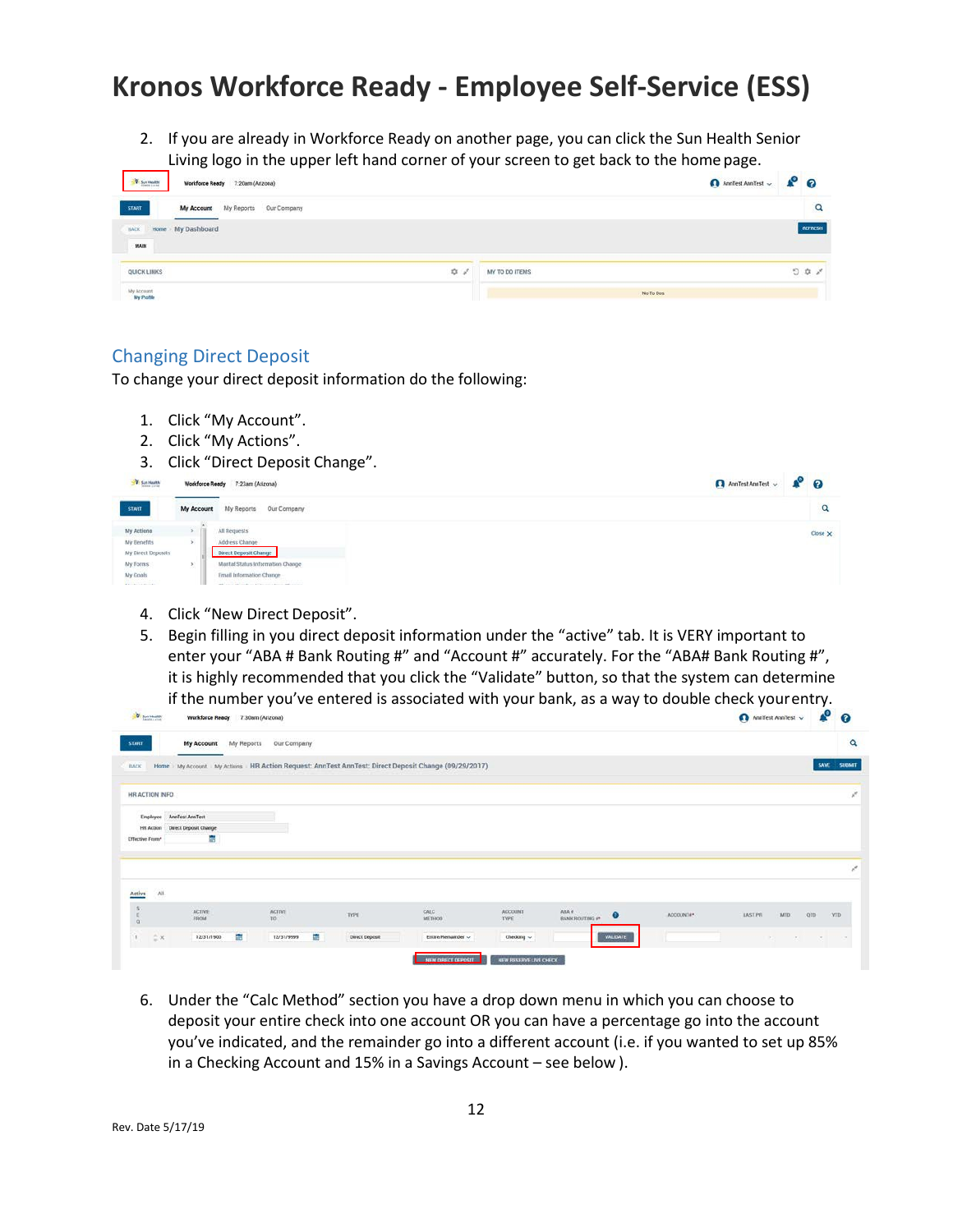2. If you are already in Workforce Ready on another page, you can click the Sun Health Senior Living logo in the upper left hand corner of your screen to get back to the home page.

| <b>D</b> Sun Month       | CONTRACTS AND THE RESIDENCE<br>Workforce Ready 7:20am (Arizona) |                               | O Annifest Annifest v & O |
|--------------------------|-----------------------------------------------------------------|-------------------------------|---------------------------|
| <b>START</b>             | My Reports<br>Our Company<br><b>My Account</b>                  |                               | $\alpha$                  |
| BACK<br>MAIN             | Home My Dashboard                                               |                               | REFRESH                   |
| QUICK LINKS              | $\begin{array}{ccc}\n\bullet & \circ & \circ\n\end{array}$      | MY TO DO ITEMS<br>31. SALEBUS | $\circ \circ \cdot$       |
| My Account<br>My Profile |                                                                 |                               | No To Dos                 |

#### Changing Direct Deposit

To change your direct deposit information do the following:

- 1. Click "My Account".
- 2. Click "My Actions".
- 3. Click "Direct Deposit Change".

| V Sun Newth        |              | Workforce Ready 7:23am (Arizona)                  | $P^{\circ}$ 0<br>AnnTest AnnTest $\sim$ |
|--------------------|--------------|---------------------------------------------------|-----------------------------------------|
| <b>START</b>       | My Account   | My Reports<br>Our Company                         |                                         |
| My Actions         |              | All Requests                                      |                                         |
| My Benefits        | $\mathbf{y}$ | Address Change                                    |                                         |
| My Direct Deposits |              | Direct Deposit Change                             |                                         |
| My Forms           |              | Marital Status Information Change                 |                                         |
|                    |              | Ernall Information Change                         |                                         |
|                    |              | and the first state of the control of the control |                                         |

- 4. Click "New Direct Deposit".
- 5. Begin filling in you direct deposit information under the "active" tab. It is VERY important to enter your "ABA # Bank Routing #" and "Account #" accurately. For the "ABA# Bank Routing #", it is highly recommended that you click the "Validate" button, so that the system can determine if the number you've entered is associated with your bank, as a way to double check yourentry.

| W Spectrum      |                          | Workforce Ready 7:30am (Arizona) |            |                                   |    |                       |                                                                                                   |                                             |                                       |           | Annifest Annifest $\sqrt{}$         | $\mathbf{e}$ | $\boldsymbol{\Omega}$     |
|-----------------|--------------------------|----------------------------------|------------|-----------------------------------|----|-----------------------|---------------------------------------------------------------------------------------------------|---------------------------------------------|---------------------------------------|-----------|-------------------------------------|--------------|---------------------------|
| <b>START</b>    |                          | My Account                       | My Reports | Our Company                       |    |                       |                                                                                                   |                                             |                                       |           |                                     |              | $\alpha$                  |
| BACK            |                          |                                  |            |                                   |    |                       | Home My Account My Actions HR Action Request: AnnTest AnnTest: Direct Deposit Change (09/29/2017) |                                             |                                       |           |                                     | SAVE         | SUBMIT                    |
|                 | HR ACTION INFO           |                                  |            |                                   |    |                       |                                                                                                   |                                             |                                       |           |                                     |              | ×                         |
|                 | Employee                 | AnnTest AnnTest                  |            |                                   |    |                       |                                                                                                   |                                             |                                       |           |                                     |              |                           |
|                 | <b>HR Action</b>         | Direct Deposit Change            |            |                                   |    |                       |                                                                                                   |                                             |                                       |           |                                     |              |                           |
| Effective From* |                          | в                                |            |                                   |    |                       |                                                                                                   |                                             |                                       |           |                                     |              |                           |
|                 |                          |                                  |            |                                   |    |                       |                                                                                                   |                                             |                                       |           |                                     |              | $\mathbf{x}^{\mathbf{c}}$ |
| Active          | All                      |                                  |            |                                   |    |                       |                                                                                                   |                                             |                                       |           |                                     |              |                           |
| $\frac{3}{6}$   |                          | ACTIVE<br>FROM                   |            | <b>SCI VIDEO</b><br>ACTIVE<br>TO: |    | TYPE                  | CALC<br>METHOD                                                                                    | <b>SANDRATION</b><br><b>ACCOUNT</b><br>TYPE | ABA #<br>BANK ROUTING #*<br>$\bullet$ | ACCOUNT#* | <b>LAST PR</b><br>orp<br><b>MTD</b> | VTD          |                           |
|                 | $\stackrel{A}{=} \times$ | 12/31/1900                       | e          | 12/31/9999                        | E. | <b>Direct Deposit</b> | Entire/Remainder ~                                                                                | Checking $\sim$                             | <b><i>VALIDATE</i></b>                |           | DOM:<br>$-20$                       | $-2$         | $\sim$                    |
|                 |                          |                                  |            |                                   |    |                       | NEW DIRECT DEPOSIT                                                                                | NEW RESERVE LIVE CHECK                      |                                       |           |                                     |              |                           |

6. Under the "Calc Method" section you have a drop down menu in which you can choose to deposit your entire check into one account OR you can have a percentage go into the account you've indicated, and the remainder go into a different account (i.e. if you wanted to set up 85% in a Checking Account and 15% in a Savings Account – see below ).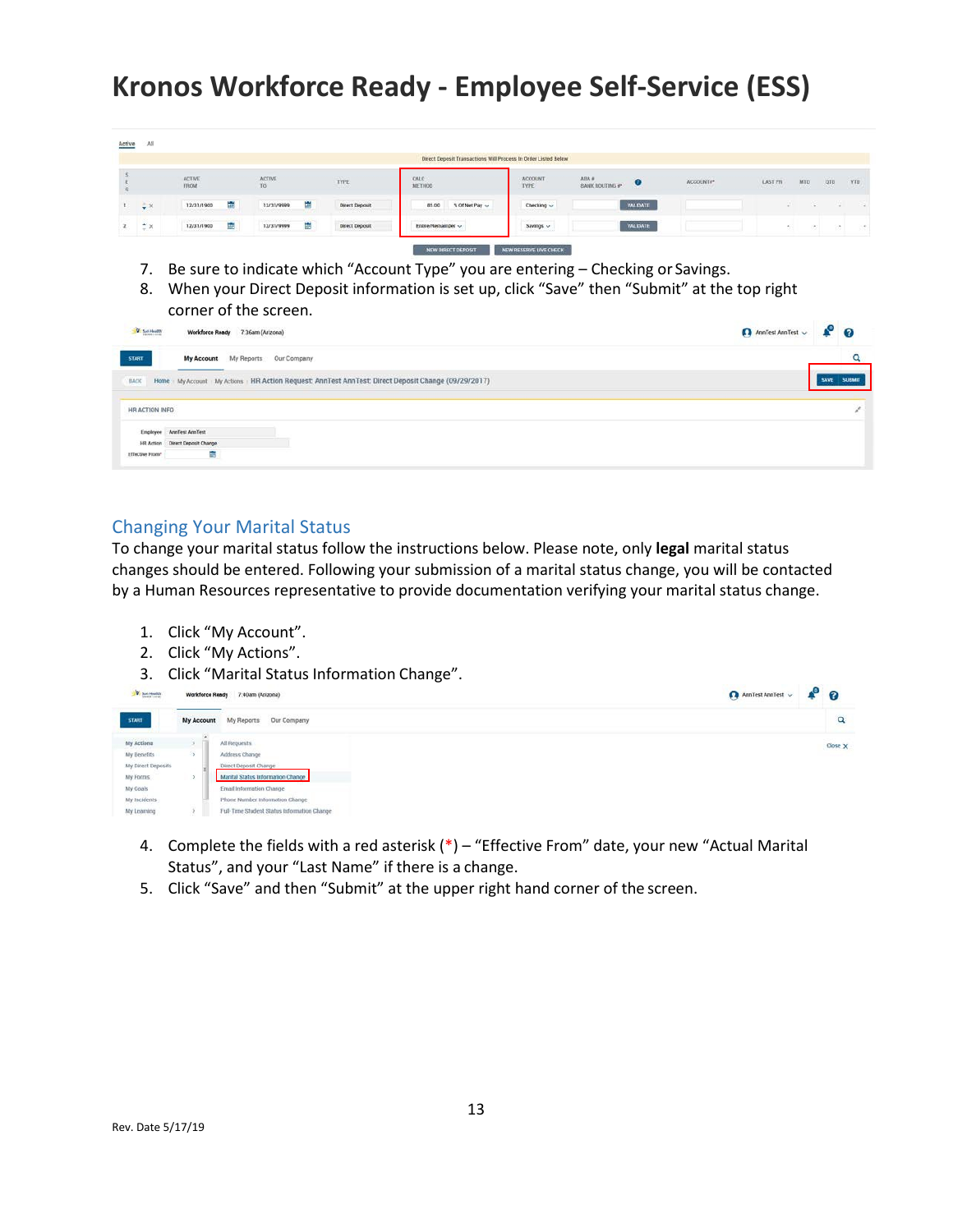|              |                                  |                              |   |                                                       |   |                                            | Direct Deposit Transactions Will Process In Order Listed Below |                                                |                                      |                                                |                                  |         |                |             |
|--------------|----------------------------------|------------------------------|---|-------------------------------------------------------|---|--------------------------------------------|----------------------------------------------------------------|------------------------------------------------|--------------------------------------|------------------------------------------------|----------------------------------|---------|----------------|-------------|
|              |                                  | <b>ACTIVE</b><br><b>FROM</b> |   | ACTIVE<br>TO                                          |   | TYPE                                       | CALC<br>METHOD                                                 | ACCOUNT<br><b>TYPE</b>                         | ABA #<br>u<br><b>BANK ROUTING #*</b> | <b><i>MAYNEAGAR</i></b><br>ACCOUNTS*<br>------ | <b>TANK OF</b><br><b>LAST PR</b> | MTD     | oro            | YTD.        |
| $\mathbf{L}$ | $\frac{1}{2}$ X                  | 12/31/1900                   | ÷ | 12/31/9999                                            | ÷ | Direct Deposit<br><b><i>CONTRACTOR</i></b> | 85.00<br>% Of Net Pay ~                                        | Checking ~                                     | VALIDATE                             |                                                |                                  | Đ.<br>× | 197            | <b>COLL</b> |
|              | $\stackrel{\bullet}{\sim}\times$ | 12/31/1900                   | 量 | Contractor of the Contractor Contractor<br>12/31/9999 | 霥 | Direct Deposit                             | Entire/Remainder ~                                             | Savings ~<br>the company of the company of the | <b><i>VALIDATE</i></b>               |                                                |                                  | œ.      | $\mathbb{R}^n$ | (40)        |

- 7. Be sure to indicate which "Account Type" you are entering Checking or Savings.
- 8. When your Direct Deposit information is set up, click "Save" then "Submit" at the top right

|                       | corner of the screen.                                                                             |                        |                           |  |
|-----------------------|---------------------------------------------------------------------------------------------------|------------------------|---------------------------|--|
| <b>V</b> Sat Health   | Workforce Ready 7:36am (Arizona)                                                                  | AnnTest AnnTest $\sim$ | $\mathbf{P}$ $\mathbf{Q}$ |  |
| <b>START</b>          | My Reports Our Company<br>My Account                                                              |                        | Q                         |  |
| BACK                  | Home My Account My Actions HR Action Request: AnnTest AnnTest: Direct Deposit Change (09/29/2017) |                        | SUBMIT                    |  |
| HR ACTION INFO        |                                                                                                   |                        |                           |  |
| Employee<br>HR Action | ArmTest AnnTest<br>Direct Deposit Change                                                          |                        |                           |  |
| Effective From*       | an a                                                                                              |                        |                           |  |

### Changing Your Marital Status

To change your marital status follow the instructions below. Please note, only **legal** marital status changes should be entered. Following your submission of a marital status change, you will be contacted by a Human Resources representative to provide documentation verifying your marital status change.

- 1. Click "My Account".
- 2. Click "My Actions".
- 3. Click "Marital Status Information Change".



- 4. Complete the fields with a red asterisk (\*) "Effective From" date, your new "Actual Marital Status", and your "Last Name" if there is a change.
- 5. Click "Save" and then "Submit" at the upper right hand corner of the screen.